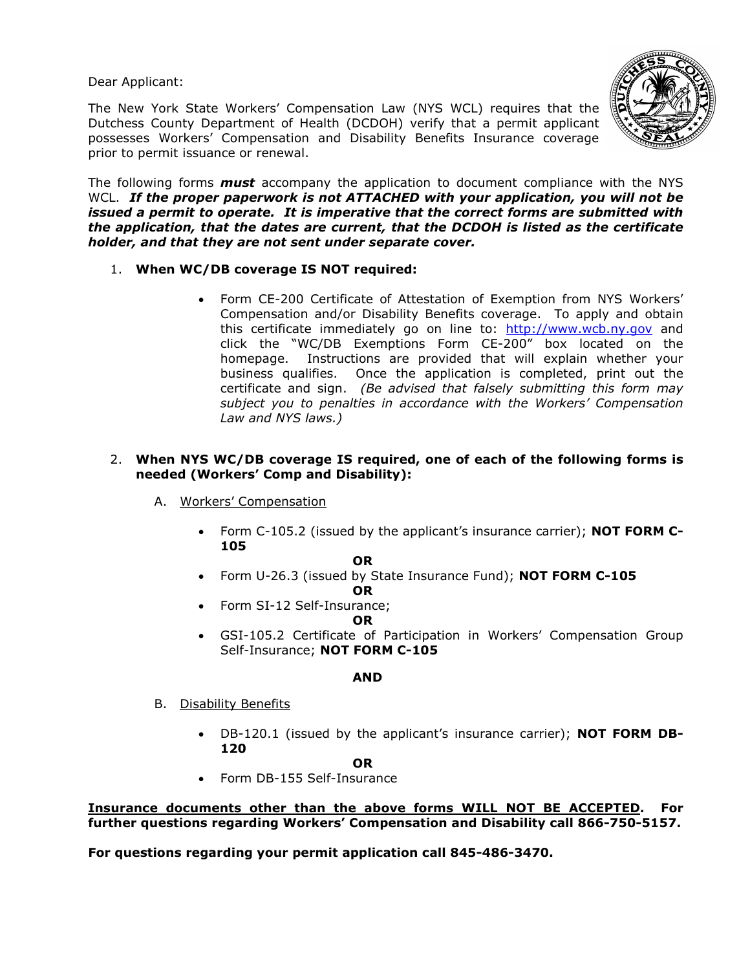Dear Applicant:

The New York State Workers' Compensation Law (NYS WCL) requires that the Dutchess County Department of Health (DCDOH) verify that a permit applicant possesses Workers' Compensation and Disability Benefits Insurance coverage prior to permit issuance or renewal.



The following forms *must* accompany the application to document compliance with the NYS WCL. *If the proper paperwork is not ATTACHED with your application, you will not be issued a permit to operate. It is imperative that the correct forms are submitted with the application, that the dates are current, that the DCDOH is listed as the certificate holder, and that they are not sent under separate cover.* 

- 1. **When WC/DB coverage IS NOT required:**
	- Form CE-200 Certificate of Attestation of Exemption from NYS Workers' Compensation and/or Disability Benefits coverage. To apply and obtain this certificate immediately go on line to: http://www.wcb.ny.gov and click the "WC/DB Exemptions Form CE-200" box located on the homepage. Instructions are provided that will explain whether your business qualifies. Once the application is completed, print out the certificate and sign. *(Be advised that falsely submitting this form may subject you to penalties in accordance with the Workers' Compensation Law and NYS laws.)*

# 2. **When NYS WC/DB coverage IS required, one of each of the following forms is needed (Workers' Comp and Disability):**

- A. Workers' Compensation
	- Form C-105.2 (issued by the applicant's insurance carrier); **NOT FORM C-105**

### **OR**

- Form U-26.3 (issued by State Insurance Fund); **NOT FORM C-105 OR**
- Form SI-12 Self-Insurance;

**OR** 

• GSI-105.2 Certificate of Participation in Workers' Compensation Group Self-Insurance; **NOT FORM C-105** 

### **AND**

- B. Disability Benefits
	- DB-120.1 (issued by the applicant's insurance carrier); **NOT FORM DB-120**

### **OR**

• Form DB-155 Self-Insurance

**Insurance documents other than the above forms WILL NOT BE ACCEPTED. For further questions regarding Workers' Compensation and Disability call 866-750-5157.** 

**For questions regarding your permit application call 845-486-3470.**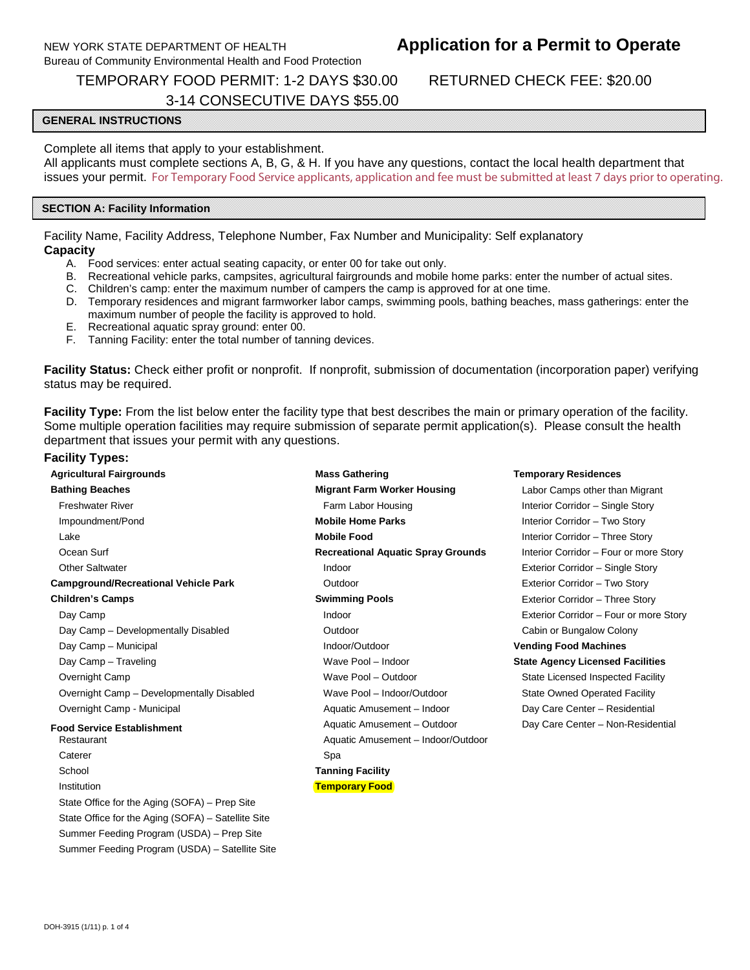### NEW YORK STATE DEPARTMENT OF HEALTH Bureau of Community Environmental Health and Food Protection

# **Application for a Permit to Operate**

TEMPORARY FOOD PERMIT: 1-2 DAYS \$30.00 3-14 CONSECUTIVE DAYS \$55.00 RETURNED CHECK FEE: \$20.00

### **GENERAL INSTRUCTIONS**

Complete all items that apply to your establishment.

 All applicants must complete sections A, B, G, & H. If you have any questions, contact the local health department that issues your permit. For Temporary Food Service applicants, application and fee must be submitted at least 7 days prior to operating.

### **SECTION A: Facility Information**

 Facility Name, Facility Address, Telephone Number, Fax Number and Municipality: Self explanatory **Capacity** 

- A. Food services: enter actual seating capacity, or enter 00 for take out only.
- B. Recreational vehicle parks, campsites, agricultural fairgrounds and mobile home parks: enter the number of actual sites.
- C. Children's camp: enter the maximum number of campers the camp is approved for at one time.
- D. Temporary residences and migrant farmworker labor camps, swimming pools, bathing beaches, mass gatherings: enter the maximum number of people the facility is approved to hold.
- E. Recreational aquatic spray ground: enter 00.
- F. Tanning Facility: enter the total number of tanning devices.

 **Facility Status:** Check either profit or nonprofit. If nonprofit, submission of documentation (incorporation paper) verifying status may be required.

 **Facility Type:** From the list below enter the facility type that best describes the main or primary operation of the facility. Some multiple operation facilities may require submission of separate permit application(s). Please consult the health department that issues your permit with any questions.

#### **Facility Types:**

| <b>Agricultural Fairgrounds</b>                    | <b>Mass Gathering</b>                                             | <b>Temporary Residences</b>   |
|----------------------------------------------------|-------------------------------------------------------------------|-------------------------------|
| <b>Bathing Beaches</b>                             | <b>Migrant Farm Worker Housing</b>                                | Labor Camps other tha         |
| <b>Freshwater River</b>                            | Farm Labor Housing<br>Interior Corridor - Sing                    |                               |
| Impoundment/Pond                                   | <b>Mobile Home Parks</b>                                          | Interior Corridor - Two       |
| Lake                                               | <b>Mobile Food</b>                                                | Interior Corridor - Thre      |
| Ocean Surf                                         | <b>Recreational Aquatic Spray Grounds</b>                         | Interior Corridor - Four      |
| <b>Other Saltwater</b>                             | Indoor                                                            | Exterior Corridor - Sing      |
| <b>Campground/Recreational Vehicle Park</b>        | Outdoor                                                           | Exterior Corridor - Two       |
| <b>Children's Camps</b>                            | <b>Swimming Pools</b>                                             | Exterior Corridor - Thre      |
| Day Camp                                           | Indoor                                                            | Exterior Corridor - Fou       |
| Day Camp - Developmentally Disabled                | Outdoor                                                           | Cabin or Bungalow Col         |
| Day Camp - Municipal                               | Indoor/Outdoor                                                    | <b>Vending Food Machine</b>   |
| Day Camp - Traveling                               | Wave Pool - Indoor                                                | <b>State Agency Licensed</b>  |
| Overnight Camp                                     | Wave Pool - Outdoor                                               | <b>State Licensed Inspect</b> |
| Overnight Camp - Developmentally Disabled          | Wave Pool - Indoor/Outdoor                                        | <b>State Owned Operated</b>   |
| Overnight Camp - Municipal                         | Aquatic Amusement - Indoor                                        | Day Care Center - Res         |
| <b>Food Service Establishment</b><br>Restaurant    | Aquatic Amusement - Outdoor<br>Aquatic Amusement - Indoor/Outdoor | Day Care Center - Nor         |
| Caterer                                            | Spa                                                               |                               |
| School                                             | <b>Tanning Facility</b>                                           |                               |
| Institution                                        | <b>Temporary Food</b>                                             |                               |
| State Office for the Aging (SOFA) – Prep Site      |                                                                   |                               |
| State Office for the Aging (SOFA) - Satellite Site |                                                                   |                               |
| Summer Feeding Program (USDA) - Prep Site          |                                                                   |                               |
| Summer Feeding Program (USDA) - Satellite Site     |                                                                   |                               |

**Labor Camps other than Migrant** Interior Corridor – Single Story **Interior Corridor – Two Story Interior Corridor – Three Story** Interior Corridor – Four or more Story Exterior Corridor – Single Story **Exterior Corridor – Two Story** Exterior Corridor – Three Story Exterior Corridor – Four or more Story Cabin or Bungalow Colony **Vending Food Machines State Agency Licensed Facilities** State Licensed Inspected Facility State Owned Operated Facility Day Care Center – Residential Day Care Center – Non-Residential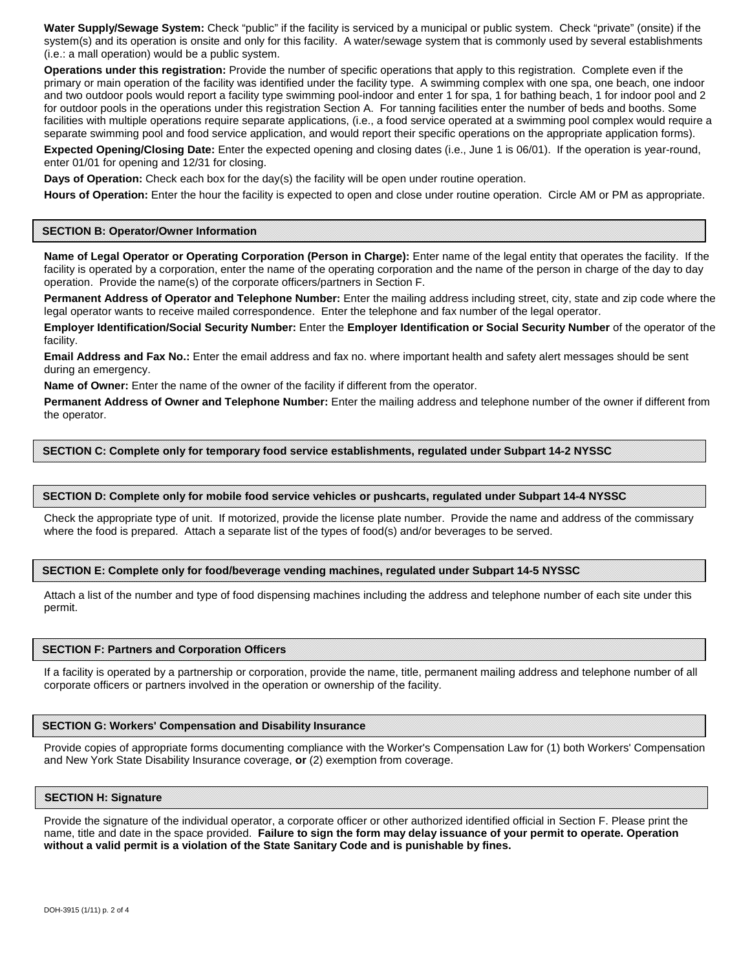**Water Supply/Sewage System:** Check "public" if the facility is serviced by a municipal or public system. Check "private" (onsite) if the system(s) and its operation is onsite and only for this facility. A water/sewage system that is commonly used by several establishments (i.e.: a mall operation) would be a public system.

 **Operations under this registration:** Provide the number of specific operations that apply to this registration. Complete even if the primary or main operation of the facility was identified under the facility type. A swimming complex with one spa, one beach, one indoor and two outdoor pools would report a facility type swimming pool-indoor and enter 1 for spa, 1 for bathing beach, 1 for indoor pool and 2 for outdoor pools in the operations under this registration Section A. For tanning facilities enter the number of beds and booths. Some facilities with multiple operations require separate applications, (i.e., a food service operated at a swimming pool complex would require a separate swimming pool and food service application, and would report their specific operations on the appropriate application forms).

 **Expected Opening/Closing Date:** Enter the expected opening and closing dates (i.e., June 1 is 06/01). If the operation is year-round, enter 01/01 for opening and 12/31 for closing.

 **Days of Operation:** Check each box for the day(s) the facility will be open under routine operation.

 **Hours of Operation:** Enter the hour the facility is expected to open and close under routine operation. Circle AM or PM as appropriate.

#### **SECTION B: Operator/Owner Information**

 **Name of Legal Operator or Operating Corporation (Person in Charge):** Enter name of the legal entity that operates the facility. If the facility is operated by a corporation, enter the name of the operating corporation and the name of the person in charge of the day to day operation. Provide the name(s) of the corporate officers/partners in Section F.

 **Permanent Address of Operator and Telephone Number:** Enter the mailing address including street, city, state and zip code where the legal operator wants to receive mailed correspondence. Enter the telephone and fax number of the legal operator.

 **Employer Identification/Social Security Number:** Enter the **Employer Identification or Social Security Number** of the operator of the facility.

 **Email Address and Fax No.:** Enter the email address and fax no. where important health and safety alert messages should be sent during an emergency.

 **Name of Owner:** Enter the name of the owner of the facility if different from the operator.

 **Permanent Address of Owner and Telephone Number:** Enter the mailing address and telephone number of the owner if different from the operator.

#### **SECTION C: Complete only for temporary food service establishments, regulated under Subpart 14-2 NYSSC**

#### **SECTION D: Complete only for mobile food service vehicles or pushcarts, regulated under Subpart 14-4 NYSSC**

 Check the appropriate type of unit. If motorized, provide the license plate number. Provide the name and address of the commissary where the food is prepared. Attach a separate list of the types of food(s) and/or beverages to be served.

#### **SECTION E: Complete only for food/beverage vending machines, regulated under Subpart 14-5 NYSSC**

 Attach a list of the number and type of food dispensing machines including the address and telephone number of each site under this permit.

#### **SECTION F: Partners and Corporation Officers**

 If a facility is operated by a partnership or corporation, provide the name, title, permanent mailing address and telephone number of all corporate officers or partners involved in the operation or ownership of the facility.

#### **SECTION G: Workers'Compensation and Disability Insurance**

 Provide copies of appropriate forms documenting compliance with the Worker's Compensation Law for (1) both Workers'Compensation and New York State Disability Insurance coverage, **or** (2) exemption from coverage.

#### **SECTION H: Signature**

 Provide the signature of the individual operator, a corporate officer or other authorized identified official in Section F. Please print the name, title and date in the space provided. **Failure to sign the form may delay issuance of your permit to operate. Operation without a valid permit is a violation of the State Sanitary Code and is punishable by fines.**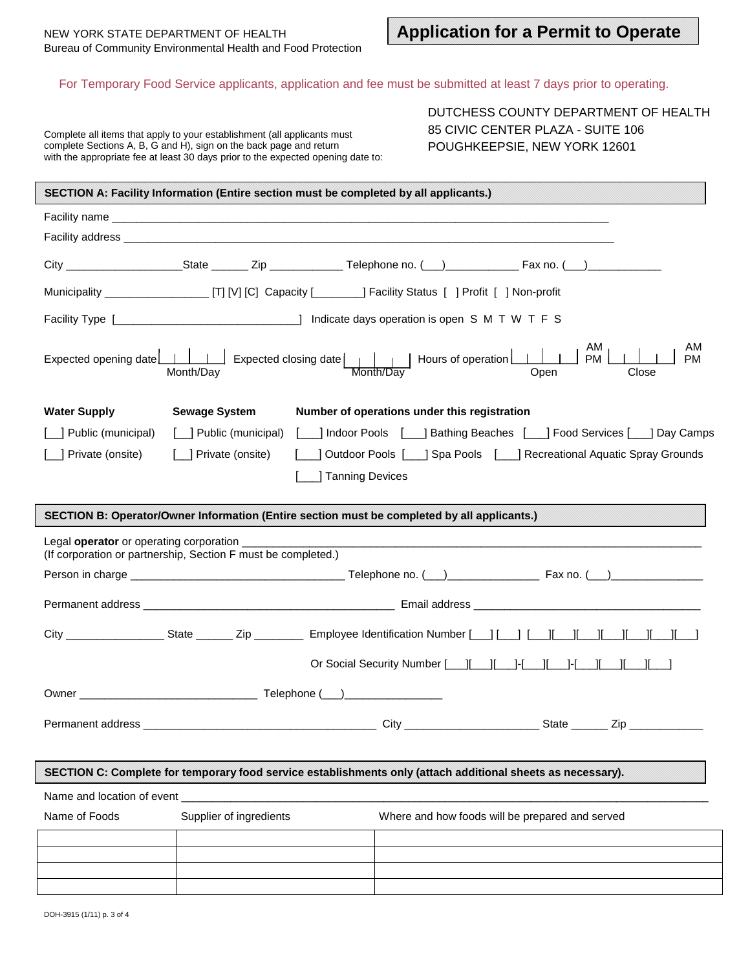### For Temporary Food Service applicants, application and fee must be submitted at least 7 days prior to operating.

| DUTCHESS COUNTY DEPARTMENT OF HEALTH |
|--------------------------------------|
| 85 CIVIC CENTER PLAZA - SUITE 106    |
| POUGHKEEPSIE, NEW YORK 12601         |

|                                                    | Complete all items that apply to your establishment (all applicants must<br>complete Sections A, B, G and H), sign on the back page and return<br>with the appropriate fee at least 30 days prior to the expected opening date to: |                    | DUTCHESS COUNTY DEPARTMENT OF HEALTH<br>85 CIVIC CENTER PLAZA - SUITE 106<br>POUGHKEEPSIE, NEW YORK 12601                  |
|----------------------------------------------------|------------------------------------------------------------------------------------------------------------------------------------------------------------------------------------------------------------------------------------|--------------------|----------------------------------------------------------------------------------------------------------------------------|
|                                                    | SECTION A: Facility Information (Entire section must be completed by all applicants.)                                                                                                                                              |                    |                                                                                                                            |
|                                                    |                                                                                                                                                                                                                                    |                    |                                                                                                                            |
|                                                    |                                                                                                                                                                                                                                    |                    |                                                                                                                            |
|                                                    |                                                                                                                                                                                                                                    |                    | City _______________________State _________ Zip ________________Telephone no. (___)___________________________             |
|                                                    |                                                                                                                                                                                                                                    |                    | Municipality __________________________________[T] [V] [C] Capacity [__________] Facility Status [ ] Profit [ ] Non-profit |
|                                                    |                                                                                                                                                                                                                                    |                    |                                                                                                                            |
|                                                    |                                                                                                                                                                                                                                    |                    | AM<br><b>PM</b><br>Close                                                                                                   |
| <b>Water Supply</b>                                | <b>Sewage System</b>                                                                                                                                                                                                               |                    | Number of operations under this registration                                                                               |
| [_] Public (municipal)                             |                                                                                                                                                                                                                                    |                    | [10] Public (municipal) [10] Indoor Pools [10] Bathing Beaches [10] Food Services [10] Day Camps                           |
| [   Private (onsite)                               | [__] Private (onsite)                                                                                                                                                                                                              |                    |                                                                                                                            |
|                                                    |                                                                                                                                                                                                                                    | _] Tanning Devices |                                                                                                                            |
|                                                    |                                                                                                                                                                                                                                    |                    |                                                                                                                            |
|                                                    | SECTION B: Operator/Owner Information (Entire section must be completed by all applicants.)                                                                                                                                        |                    |                                                                                                                            |
| Legal operator or operating corporation __________ | (If corporation or partnership, Section F must be completed.)                                                                                                                                                                      |                    |                                                                                                                            |
|                                                    |                                                                                                                                                                                                                                    |                    |                                                                                                                            |
|                                                    |                                                                                                                                                                                                                                    |                    |                                                                                                                            |
|                                                    |                                                                                                                                                                                                                                    |                    |                                                                                                                            |
|                                                    |                                                                                                                                                                                                                                    |                    |                                                                                                                            |
|                                                    |                                                                                                                                                                                                                                    |                    |                                                                                                                            |
|                                                    |                                                                                                                                                                                                                                    |                    |                                                                                                                            |
|                                                    |                                                                                                                                                                                                                                    |                    |                                                                                                                            |
|                                                    |                                                                                                                                                                                                                                    |                    | SECTION C: Complete for temporary food service establishments only (attach additional sheets as necessary).                |
|                                                    |                                                                                                                                                                                                                                    |                    |                                                                                                                            |
| Name of Foods                                      | Supplier of ingredients                                                                                                                                                                                                            |                    | Where and how foods will be prepared and served                                                                            |
|                                                    |                                                                                                                                                                                                                                    |                    |                                                                                                                            |
|                                                    |                                                                                                                                                                                                                                    |                    |                                                                                                                            |
|                                                    |                                                                                                                                                                                                                                    |                    |                                                                                                                            |
| DOH-3915 (1/11) p. 3 of 4                          |                                                                                                                                                                                                                                    |                    |                                                                                                                            |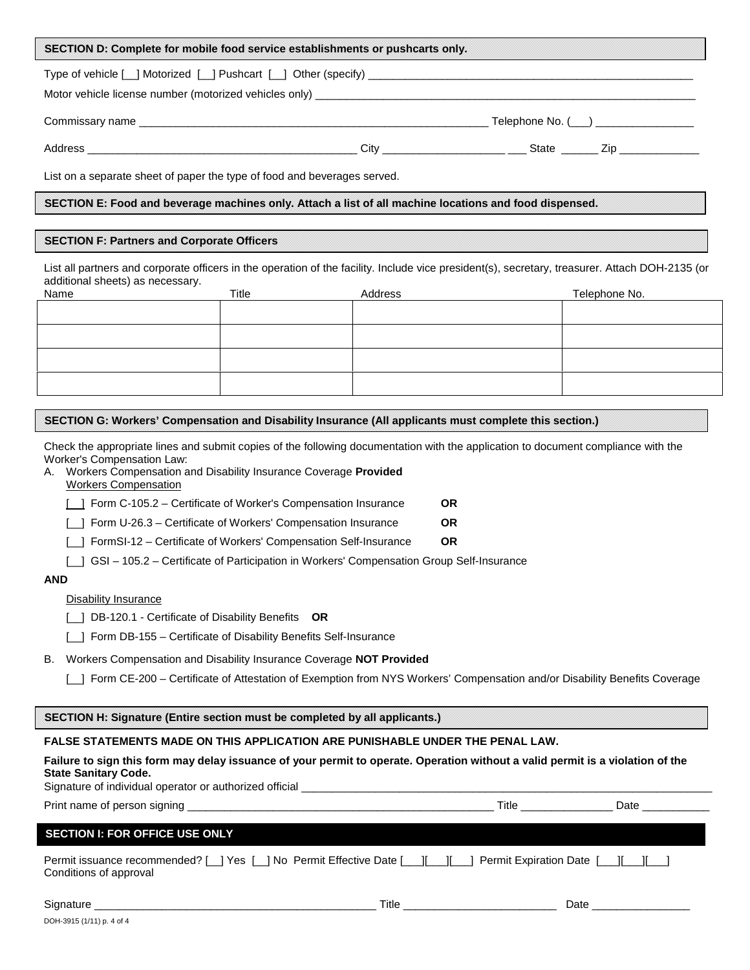| SECTION D: Complete for mobile food service establishments or pushcarts only.                                                                                                                                                                                                                                                                                                                                                                                                                                                                                                                                                                                                                                                                                                                                                       |                                                                                                                                 |                                     |               |
|-------------------------------------------------------------------------------------------------------------------------------------------------------------------------------------------------------------------------------------------------------------------------------------------------------------------------------------------------------------------------------------------------------------------------------------------------------------------------------------------------------------------------------------------------------------------------------------------------------------------------------------------------------------------------------------------------------------------------------------------------------------------------------------------------------------------------------------|---------------------------------------------------------------------------------------------------------------------------------|-------------------------------------|---------------|
|                                                                                                                                                                                                                                                                                                                                                                                                                                                                                                                                                                                                                                                                                                                                                                                                                                     |                                                                                                                                 |                                     |               |
|                                                                                                                                                                                                                                                                                                                                                                                                                                                                                                                                                                                                                                                                                                                                                                                                                                     |                                                                                                                                 |                                     |               |
|                                                                                                                                                                                                                                                                                                                                                                                                                                                                                                                                                                                                                                                                                                                                                                                                                                     |                                                                                                                                 |                                     |               |
| List on a separate sheet of paper the type of food and beverages served.                                                                                                                                                                                                                                                                                                                                                                                                                                                                                                                                                                                                                                                                                                                                                            |                                                                                                                                 |                                     |               |
| SECTION E: Food and beverage machines only. Attach a list of all machine locations and food dispensed.                                                                                                                                                                                                                                                                                                                                                                                                                                                                                                                                                                                                                                                                                                                              |                                                                                                                                 |                                     |               |
| <b>SECTION F: Partners and Corporate Officers</b>                                                                                                                                                                                                                                                                                                                                                                                                                                                                                                                                                                                                                                                                                                                                                                                   |                                                                                                                                 |                                     |               |
| List all partners and corporate officers in the operation of the facility. Include vice president(s), secretary, treasurer. Attach DOH-2135 (or<br>additional sheets) as necessary.                                                                                                                                                                                                                                                                                                                                                                                                                                                                                                                                                                                                                                                 |                                                                                                                                 |                                     |               |
| Name                                                                                                                                                                                                                                                                                                                                                                                                                                                                                                                                                                                                                                                                                                                                                                                                                                | Title                                                                                                                           | Address                             | Telephone No. |
|                                                                                                                                                                                                                                                                                                                                                                                                                                                                                                                                                                                                                                                                                                                                                                                                                                     |                                                                                                                                 |                                     |               |
|                                                                                                                                                                                                                                                                                                                                                                                                                                                                                                                                                                                                                                                                                                                                                                                                                                     |                                                                                                                                 |                                     |               |
|                                                                                                                                                                                                                                                                                                                                                                                                                                                                                                                                                                                                                                                                                                                                                                                                                                     |                                                                                                                                 |                                     |               |
|                                                                                                                                                                                                                                                                                                                                                                                                                                                                                                                                                                                                                                                                                                                                                                                                                                     |                                                                                                                                 |                                     |               |
| SECTION G: Workers' Compensation and Disability Insurance (All applicants must complete this section.)                                                                                                                                                                                                                                                                                                                                                                                                                                                                                                                                                                                                                                                                                                                              |                                                                                                                                 |                                     |               |
| Check the appropriate lines and submit copies of the following documentation with the application to document compliance with the<br>Worker's Compensation Law:<br>Workers Compensation and Disability Insurance Coverage Provided<br>А.<br><b>Workers Compensation</b><br>1 Form C-105.2 – Certificate of Worker's Compensation Insurance<br>_] GSI - 105.2 - Certificate of Participation in Workers' Compensation Group Self-Insurance<br><b>AND</b><br><b>Disability Insurance</b><br>[10] DB-120.1 - Certificate of Disability Benefits OR<br>[_] Form DB-155 - Certificate of Disability Benefits Self-Insurance<br>Workers Compensation and Disability Insurance Coverage NOT Provided<br>В.<br>[   Form CE-200 - Certificate of Attestation of Exemption from NYS Workers' Compensation and/or Disability Benefits Coverage | Form U-26.3 - Certificate of Workers' Compensation Insurance<br>FormSI-12 - Certificate of Workers' Compensation Self-Insurance | <b>OR</b><br><b>OR</b><br><b>OR</b> |               |
| SECTION H: Signature (Entire section must be completed by all applicants.)                                                                                                                                                                                                                                                                                                                                                                                                                                                                                                                                                                                                                                                                                                                                                          |                                                                                                                                 |                                     |               |
| FALSE STATEMENTS MADE ON THIS APPLICATION ARE PUNISHABLE UNDER THE PENAL LAW.<br>Failure to sign this form may delay issuance of your permit to operate. Operation without a valid permit is a violation of the<br><b>State Sanitary Code.</b>                                                                                                                                                                                                                                                                                                                                                                                                                                                                                                                                                                                      |                                                                                                                                 |                                     |               |
|                                                                                                                                                                                                                                                                                                                                                                                                                                                                                                                                                                                                                                                                                                                                                                                                                                     |                                                                                                                                 |                                     |               |
| <b>SECTION I: FOR OFFICE USE ONLY</b>                                                                                                                                                                                                                                                                                                                                                                                                                                                                                                                                                                                                                                                                                                                                                                                               |                                                                                                                                 |                                     |               |
| Permit issuance recommended? [_] Yes [_] No Permit Effective Date [__][__][__] Permit Expiration Date [__][__]<br>Conditions of approval                                                                                                                                                                                                                                                                                                                                                                                                                                                                                                                                                                                                                                                                                            |                                                                                                                                 |                                     |               |
|                                                                                                                                                                                                                                                                                                                                                                                                                                                                                                                                                                                                                                                                                                                                                                                                                                     |                                                                                                                                 |                                     |               |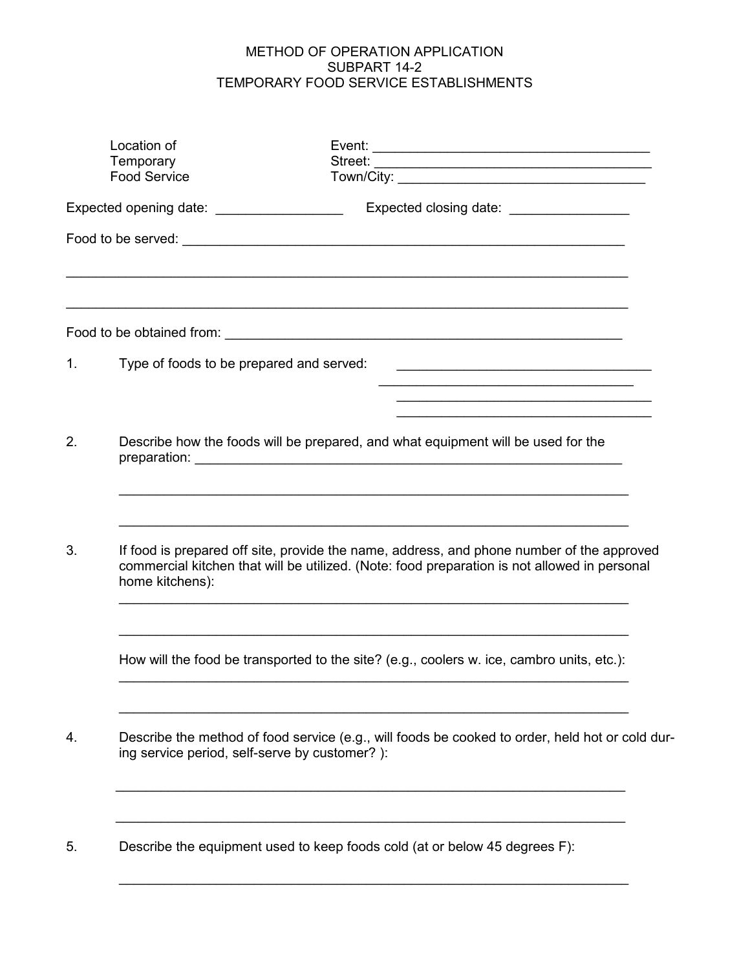# METHOD OF OPERATION APPLICATION SUBPART 14-2 TEMPORARY FOOD SERVICE ESTABLISHMENTS

|    | Location of<br>Temporary<br><b>Food Service</b> |                                                                                                                                                                                           |
|----|-------------------------------------------------|-------------------------------------------------------------------------------------------------------------------------------------------------------------------------------------------|
|    | Expected opening date: ____________________     | Expected closing date: __________________                                                                                                                                                 |
|    |                                                 |                                                                                                                                                                                           |
|    |                                                 |                                                                                                                                                                                           |
| 1. | Type of foods to be prepared and served:        |                                                                                                                                                                                           |
| 2. |                                                 | Describe how the foods will be prepared, and what equipment will be used for the                                                                                                          |
| 3. | home kitchens):                                 | If food is prepared off site, provide the name, address, and phone number of the approved<br>commercial kitchen that will be utilized. (Note: food preparation is not allowed in personal |
|    |                                                 | How will the food be transported to the site? (e.g., coolers w. ice, cambro units, etc.):                                                                                                 |
| 4. | ing service period, self-serve by customer?):   | Describe the method of food service (e.g., will foods be cooked to order, held hot or cold dur-                                                                                           |
| 5. |                                                 | Describe the equipment used to keep foods cold (at or below 45 degrees F):                                                                                                                |

\_\_\_\_\_\_\_\_\_\_\_\_\_\_\_\_\_\_\_\_\_\_\_\_\_\_\_\_\_\_\_\_\_\_\_\_\_\_\_\_\_\_\_\_\_\_\_\_\_\_\_\_\_\_\_\_\_\_\_\_\_\_\_\_\_\_\_\_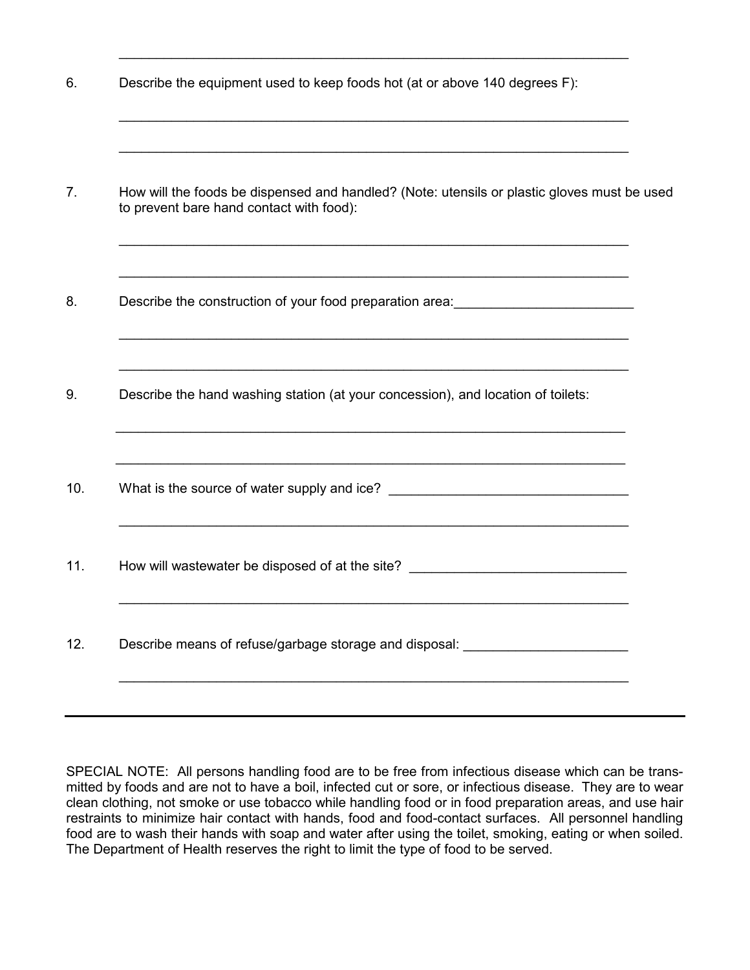| 6. | Describe the equipment used to keep foods hot (at or above 140 degrees F): |  |  |  |
|----|----------------------------------------------------------------------------|--|--|--|
|----|----------------------------------------------------------------------------|--|--|--|

\_\_\_\_\_\_\_\_\_\_\_\_\_\_\_\_\_\_\_\_\_\_\_\_\_\_\_\_\_\_\_\_\_\_\_\_\_\_\_\_\_\_\_\_\_\_\_\_\_\_\_\_\_\_\_\_\_\_\_\_\_\_\_\_\_\_\_\_

\_\_\_\_\_\_\_\_\_\_\_\_\_\_\_\_\_\_\_\_\_\_\_\_\_\_\_\_\_\_\_\_\_\_\_\_\_\_\_\_\_\_\_\_\_\_\_\_\_\_\_\_\_\_\_\_\_\_\_\_\_\_\_\_\_\_\_\_

\_\_\_\_\_\_\_\_\_\_\_\_\_\_\_\_\_\_\_\_\_\_\_\_\_\_\_\_\_\_\_\_\_\_\_\_\_\_\_\_\_\_\_\_\_\_\_\_\_\_\_\_\_\_\_\_\_\_\_\_\_\_\_\_\_\_\_\_

| Describe the construction of your food preparation area: _______________________                                                                |
|-------------------------------------------------------------------------------------------------------------------------------------------------|
| <u> 1989 - Johann Stoff, amerikansk politiker (d. 1989)</u><br>Describe the hand washing station (at your concession), and location of toilets: |
| ,我们也不能在这里的时候,我们也不能在这里的时候,我们也不能不能不能不能不能不能不能不能不能不能。""我们的人们也不能不能不能不能不能不能不能不能不能不能不能不                                                                |
| How will wastewater be disposed of at the site? ________________________________                                                                |
| Describe means of refuse/garbage storage and disposal: _________________________                                                                |

SPECIAL NOTE: All persons handling food are to be free from infectious disease which can be transmitted by foods and are not to have a boil, infected cut or sore, or infectious disease. They are to wear clean clothing, not smoke or use tobacco while handling food or in food preparation areas, and use hair restraints to minimize hair contact with hands, food and food-contact surfaces. All personnel handling food are to wash their hands with soap and water after using the toilet, smoking, eating or when soiled. The Department of Health reserves the right to limit the type of food to be served.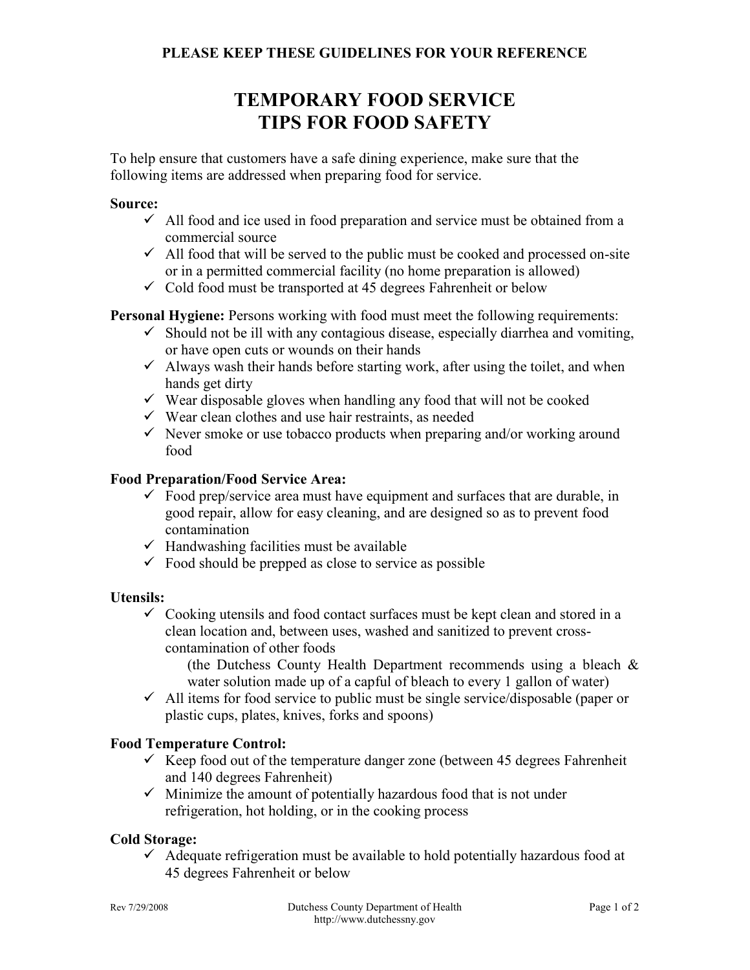# **TEMPORARY FOOD SERVICE TIPS FOR FOOD SAFETY**

To help ensure that customers have a safe dining experience, make sure that the following items are addressed when preparing food for service.

# **Source:**

- $\checkmark$  All food and ice used in food preparation and service must be obtained from a commercial source
- $\checkmark$  All food that will be served to the public must be cooked and processed on-site or in a permitted commercial facility (no home preparation is allowed)
- $\checkmark$  Cold food must be transported at 45 degrees Fahrenheit or below

**Personal Hygiene:** Persons working with food must meet the following requirements:

- $\checkmark$  Should not be ill with any contagious disease, especially diarrhea and vomiting, or have open cuts or wounds on their hands
- $\checkmark$  Always wash their hands before starting work, after using the toilet, and when hands get dirty
- $\checkmark$  Wear disposable gloves when handling any food that will not be cooked
- $\checkmark$  Wear clean clothes and use hair restraints, as needed
- $\checkmark$  Never smoke or use tobacco products when preparing and/or working around food

# **Food Preparation/Food Service Area:**

- $\checkmark$  Food prep/service area must have equipment and surfaces that are durable, in good repair, allow for easy cleaning, and are designed so as to prevent food contamination
- $\checkmark$  Handwashing facilities must be available
- $\checkmark$  Food should be prepped as close to service as possible

# **Utensils:**

 $\checkmark$  Cooking utensils and food contact surfaces must be kept clean and stored in a clean location and, between uses, washed and sanitized to prevent crosscontamination of other foods

(the Dutchess County Health Department recommends using a bleach & water solution made up of a capful of bleach to every 1 gallon of water)

 $\checkmark$  All items for food service to public must be single service/disposable (paper or plastic cups, plates, knives, forks and spoons)

# **Food Temperature Control:**

- $\checkmark$  Keep food out of the temperature danger zone (between 45 degrees Fahrenheit and 140 degrees Fahrenheit)
- $\checkmark$  Minimize the amount of potentially hazardous food that is not under refrigeration, hot holding, or in the cooking process

# **Cold Storage:**

 $\checkmark$  Adequate refrigeration must be available to hold potentially hazardous food at 45 degrees Fahrenheit or below